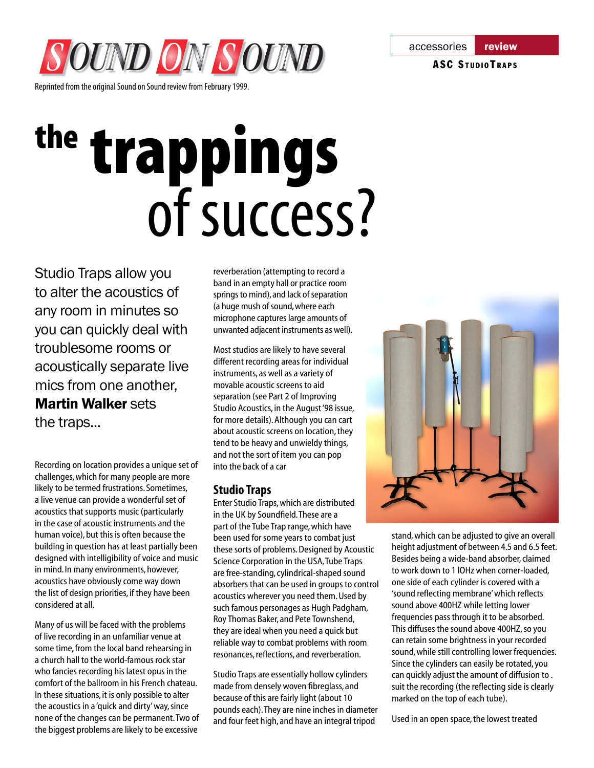

Reprinted from the original Sound on Sound review from February 1999.

# the trappings of success?

Studio Traps allow you to alter the acoustics of any room in minutes so you can quickly deal with troublesome rooms or acoustically separate live mics from one another, Martin Walker sets the traps...

Recording on location provides a unique set of challenges, which for many people are more likely to be termed frustrations. Sometimes, a live venue can provide a wonderful set of acoustics that supports music (particularly in the case of acoustic instruments and the human voice), but this is often because the building in question has at least partially been designed with intelligibility of voice and music in mind. In many environments, however, acoustics have obviously come way down the list of design priorities, if they have been considered at all.

Many of us will be faced with the problems of live recording in an unfamiliar venue at some time, from the local band rehearsing in a church hall to the world-famous rock star who fancies recording his latest opus in the comfort of the ballroom in his French chateau. In these situations, it is only possible to alter the acoustics in a 'quick and dirty' way, since none of the changes can be permanent. Two of the biggest problems are likely to be excessive

reverberation (attempting to record a band in an empty hall or practice room springs to mind), and lack of separation (a huge mush of sound, where each microphone captures large amounts of unwanted adjacent instruments as well).

Most studios are likely to have several different recording areas for individual instruments, as well as a variety of movable acoustic screens to aid separation (see Part 2 of Improving Studio Acoustics, in the August '98 issue, for more details). Although you can cart about acoustic screens on location, they tend to be heavy and unwieldy things, and not the sort of item you can pop into the back of a car

### **Studio Traps**

Enter Studio Traps, which are distributed in the UK by Soundfield. These are a part of the Tube Trap range, which have been used for some years to combat just these sorts of problems. Designed by Acoustic Science Corporation in the USA, Tube Traps are free-standing, cylindrical-shaped sound absorbers that can be used in groups to control acoustics wherever you need them. Used by such famous personages as Hugh Padgham, Roy Thomas Baker, and Pete Townshend, they are ideal when you need a quick but reliable way to combat problems with room resonances, reflections, and reverberation.

Studio Traps are essentially hollow cylinders made from densely woven fibreglass, and because of this are fairly light (about 10 pounds each). They are nine inches in diameter and four feet high, and have an integral tripod

stand, which can be adjusted to give an overall height adjustment of between 4.5 and 6.5 feet. Besides being a wide-band absorber, claimed to work down to 1 lOHz when corner-loaded, one side of each cylinder is covered with a 'sound reflecting membrane' which reflects sound above 400HZ while letting lower frequencies pass through it to be absorbed. This diffuses the sound above 400HZ, so you can retain some brightness in your recorded sound, while still controlling lower frequencies. Since the cylinders can easily be rotated, you can quickly adjust the amount of diffusion to . suit the recording (the reflecting side is clearly marked on the top of each tube).

Used in an open space, the lowest treated

#### ASC STUDIOTRAPS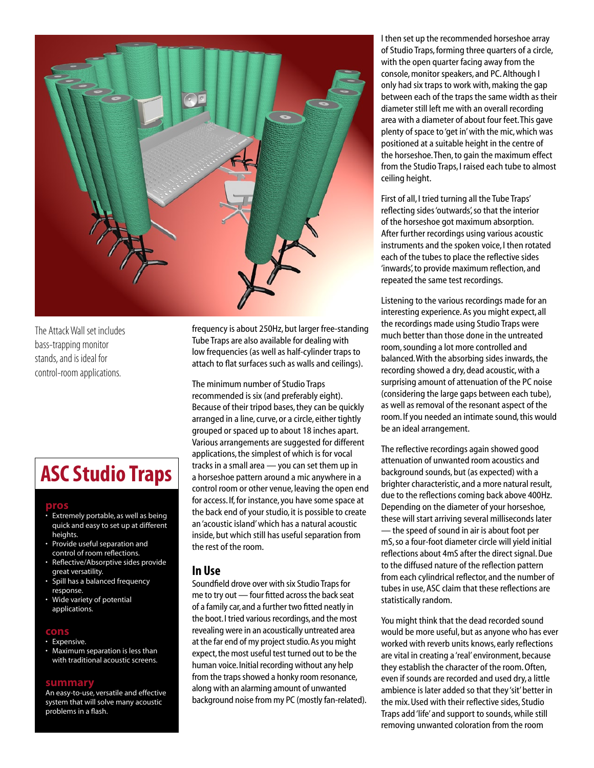

The Attack Wall set includes bass-trapping monitor stands, and is ideal for control-room applications.

## **ASC Studio Traps**

#### **pros**

- Extremely portable, as well as being quick and easy to set up at different heights.
- Provide useful separation and control of room reflections.
- Reflective/Absorptive sides provide great versatility.
- Spill has a balanced frequency response.
- Wide variety of potential applications.

#### **cons**

- Expensive.
- Maximum separation is less than with traditional acoustic screens.

#### **summary**

An easy-to-use, versatile and effective system that will solve many acoustic problems in a flash.

frequency is about 250Hz, but larger free-standing Tube Traps are also available for dealing with low frequencies (as well as half-cylinder traps to attach to flat surfaces such as walls and ceilings).

The minimum number of Studio Traps recommended is six (and preferably eight). Because of their tripod bases, they can be quickly arranged in a line, curve, or a circle, either tightly grouped or spaced up to about 18 inches apart. Various arrangements are suggested for different applications, the simplest of which is for vocal tracks in a small area — you can set them up in a horseshoe pattern around a mic anywhere in a control room or other venue, leaving the open end for access. If, for instance, you have some space at the back end of your studio, it is possible to create an 'acoustic island' which has a natural acoustic inside, but which still has useful separation from the rest of the room.

#### **In Use**

Soundfield drove over with six Studio Traps for me to try out — four fitted across the back seat of a family car, and a further two fitted neatly in the boot. I tried various recordings, and the most revealing were in an acoustically untreated area at the far end of my project studio. As you might expect, the most useful test turned out to be the human voice. Initial recording without any help from the traps showed a honky room resonance, along with an alarming amount of unwanted background noise from my PC (mostly fan-related). I then set up the recommended horseshoe array of Studio Traps, forming three quarters of a circle, with the open quarter facing away from the console, monitor speakers, and PC. Although I only had six traps to work with, making the gap between each of the traps the same width as their diameter still left me with an overall recording area with a diameter of about four feet. This gave plenty of space to 'get in' with the mic, which was positioned at a suitable height in the centre of the horseshoe. Then, to gain the maximum effect from the Studio Traps, I raised each tube to almost ceiling height.

First of all, I tried turning all the Tube Traps' reflecting sides 'outwards', so that the interior of the horseshoe got maximum absorption. After further recordings using various acoustic instruments and the spoken voice, I then rotated each of the tubes to place the reflective sides 'inwards', to provide maximum reflection, and repeated the same test recordings.

Listening to the various recordings made for an interesting experience. As you might expect, all the recordings made using Studio Traps were much better than those done in the untreated room, sounding a lot more controlled and balanced. With the absorbing sides inwards, the recording showed a dry, dead acoustic, with a surprising amount of attenuation of the PC noise (considering the large gaps between each tube), as well as removal of the resonant aspect of the room. If you needed an intimate sound, this would be an ideal arrangement.

The reflective recordings again showed good attenuation of unwanted room acoustics and background sounds, but (as expected) with a brighter characteristic, and a more natural result, due to the reflections coming back above 400Hz. Depending on the diameter of your horseshoe, these will start arriving several milliseconds later — the speed of sound in air is about foot per mS, so a four-foot diameter circle will yield initial reflections about 4mS after the direct signal. Due to the diffused nature of the reflection pattern from each cylindrical reflector, and the number of tubes in use, ASC claim that these reflections are statistically random.

You might think that the dead recorded sound would be more useful, but as anyone who has ever worked with reverb units knows, early reflections are vital in creating a 'real' environment, because they establish the character of the room. Often, even if sounds are recorded and used dry, a little ambience is later added so that they 'sit' better in the mix. Used with their reflective sides, Studio Traps add 'life' and support to sounds, while still removing unwanted coloration from the room